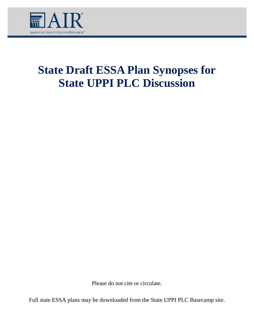

# **State Draft ESSA Plan Synopses for State UPPI PLC Discussion**

Please do not cite or circulate.

Full state ESSA plans may be downloaded from the State UPPI PLC Basecamp site.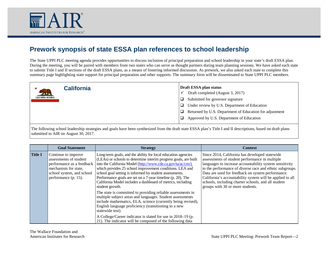

The State UPPI PLC meeting agenda provides opportunities to discuss inclusion of principal preparation and school leadership in your state's draft ESSA plan. During the meeting, you will be paired with members from two states who can serve as thought partners during team planning sessions. We have asked each state to submit Title I and II sections of the draft ESSA plans, as a means of fostering informed discussion. As prework, we also asked each state to complete this summary page highlighting state support for principal preparation and other supports. The summary form will be disseminated to State UPPI PLC members.

| <b>California</b><br><b>CALIFORNIA REPUBLIC</b> | Draft ESSA plan status<br>Draft completed (August 3, 2017)<br>Submitted for governor signature<br>Under review by U.S. Department of Education<br>⊔ |
|-------------------------------------------------|-----------------------------------------------------------------------------------------------------------------------------------------------------|
|                                                 | Returned by U.S. Department of Education for adjustment<br>□<br>Approved by U.S. Department of Education                                            |

|                | <b>Goal Statement</b>                                                                                                                                   | <b>Strategy</b>                                                                                                                                                                                                                                                                                                                                                                                                                                                           | <b>Context</b>                                                                                                                                                                                                                                                                                                                                                                                                                       |
|----------------|---------------------------------------------------------------------------------------------------------------------------------------------------------|---------------------------------------------------------------------------------------------------------------------------------------------------------------------------------------------------------------------------------------------------------------------------------------------------------------------------------------------------------------------------------------------------------------------------------------------------------------------------|--------------------------------------------------------------------------------------------------------------------------------------------------------------------------------------------------------------------------------------------------------------------------------------------------------------------------------------------------------------------------------------------------------------------------------------|
| <b>Title I</b> | Continue to improve<br>assessments of student<br>performance as a feedback<br>mechanism for state,<br>school system, and school<br>performance (p. 15). | Long-term goals, and the ability for local education agencies<br>(LEAs) or schools to determine interim progress goals, are built<br>into the California Model (http://www.cde.ca.gov/ta/ac/cm/),<br>which provides 25 school improvement conditions. LEA and<br>school goal setting is informed by student assessments.<br>Performance goals are set on a 7-year timeline (p. 20). The<br>California Model includes a dashboard of metrics, including<br>student growth. | Since 2014, California has developed statewide<br>assessments of student performance in multiple<br>languages to increase accountability system sensitivity<br>to the performance of diverse race and ethnic subgroups.<br>Data are used for feedback on system performance.<br>California's accountability system will be applied to all<br>schools, including charter schools, and all student<br>groups with 30 or more students. |
|                |                                                                                                                                                         | The state is committed to providing reliable assessments in<br>multiple subject areas and languages. Student assessments<br>include mathematics, ELA, science (currently being revised),<br>English language proficiency (transitioning to a new<br>statewide test).<br>A College/Career indicator is slated for use in 2018–19 (p.<br>21). The indicator will be composed of the following data                                                                          |                                                                                                                                                                                                                                                                                                                                                                                                                                      |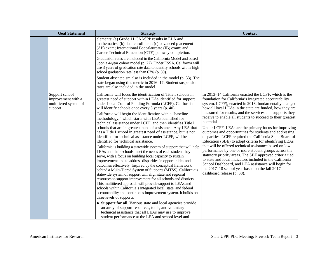| <b>Goal Statement</b>                                                     | <b>Strategy</b>                                                                                                                                                                                                                                                                                                                                                                                                                                                                                                                                                                                                                                                                                                                                                                                                                                                                                                                                                                                                                                                                                                                                                                                                                                                                                                                                                                                                                                                                                                                                                                                                          | <b>Context</b>                                                                                                                                                                                                                                                                                                                                                                                                                                                                                                                                                                                                                                                                                                                                                                                                                                                                                                                                                                                       |
|---------------------------------------------------------------------------|--------------------------------------------------------------------------------------------------------------------------------------------------------------------------------------------------------------------------------------------------------------------------------------------------------------------------------------------------------------------------------------------------------------------------------------------------------------------------------------------------------------------------------------------------------------------------------------------------------------------------------------------------------------------------------------------------------------------------------------------------------------------------------------------------------------------------------------------------------------------------------------------------------------------------------------------------------------------------------------------------------------------------------------------------------------------------------------------------------------------------------------------------------------------------------------------------------------------------------------------------------------------------------------------------------------------------------------------------------------------------------------------------------------------------------------------------------------------------------------------------------------------------------------------------------------------------------------------------------------------------|------------------------------------------------------------------------------------------------------------------------------------------------------------------------------------------------------------------------------------------------------------------------------------------------------------------------------------------------------------------------------------------------------------------------------------------------------------------------------------------------------------------------------------------------------------------------------------------------------------------------------------------------------------------------------------------------------------------------------------------------------------------------------------------------------------------------------------------------------------------------------------------------------------------------------------------------------------------------------------------------------|
|                                                                           | elements: (a) Grade 11 CAASPP results in ELA and<br>mathematics; (b) dual enrollment; (c) advanced placement<br>(AP) exam; International Baccalaureate (IB) exam; and<br>Career Technical Education (CTE) pathway completion.<br>Graduation rates are included in the California Model and based<br>upon a 4-year cohort model (p. 22). Under ESSA, California will<br>use 3 years of graduation rate data to identify schools with a high<br>school graduation rate less than 67% (p. 39).<br>Student absenteeism also is included in the model (p. 33). The<br>state began using this metric in 2016-17. Student suspension<br>rates are also included in the model.                                                                                                                                                                                                                                                                                                                                                                                                                                                                                                                                                                                                                                                                                                                                                                                                                                                                                                                                                   |                                                                                                                                                                                                                                                                                                                                                                                                                                                                                                                                                                                                                                                                                                                                                                                                                                                                                                                                                                                                      |
| Support school<br>improvement with a<br>multitiered system of<br>support. | California will focus the identification of Title I schools in<br>greatest need of support within LEAs identified for support<br>under Local Control Funding Formula (LCFF). California<br>will identify schools once every 3 years (p. 40).<br>California will begin the identification with a "baseline"<br>methodology," which starts with LEAs identified for<br>technical assistance under LCFF, and then identifies Title I<br>schools that are in greatest need of assistance. Any LEA that<br>has a Title I school in greatest need of assistance, but is not<br>identified for technical assistance under LCFF, will be<br>identified for technical assistance.<br>California is building a statewide system of support that will help<br>LEAs and their schools meet the needs of each student they<br>serve, with a focus on building local capacity to sustain<br>improvement and to address disparities in opportunities and<br>outcomes effectively. Inspired by the conceptual framework<br>behind a Multi-Tiered System of Supports (MTSS), California's<br>statewide system of support will align state and regional<br>resources to support improvement for all schools and districts.<br>This multitiered approach will provide support to LEAs and<br>schools within California's integrated local, state, and federal<br>accountability and continuous improvement system. It builds on<br>three levels of supports:<br>• Support for all. Various state and local agencies provide<br>an array of support resources, tools, and voluntary<br>technical assistance that all LEAs may use to improve | In 2013-14 California enacted the LCFF, which is the<br>foundation for California's integrated accountability<br>system. LCFF), enacted in 2013, fundamentally changed<br>how all local LEAs in the state are funded, how they are<br>measured for results, and the services and supports they<br>receive to enable all students to succeed to their greatest<br>potential.<br>Under LCFF, LEAs are the primary focus for improving<br>outcomes and opportunities for students and addressing<br>disparities. LCFF required the California State Board of<br>Education (SBE) to adopt criteria for identifying LEAs<br>that will be offered technical assistance based on low<br>performance by one or more student groups across the<br>statutory priority areas. The SBE approved criteria tied<br>to state and local indicators included in the California<br>School Dashboard, and LEA assistance will begin for<br>the 2017-18 school year based on the fall 2017<br>dashboard release (p. 38). |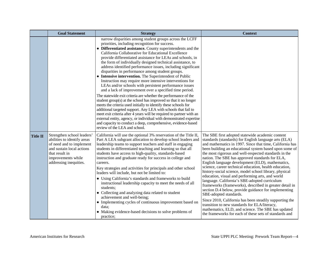|                 | <b>Goal Statement</b>                                                                                                                                                                | <b>Strategy</b>                                                                                                                                                                                                                                                                                                                                                                                                                                                                                                                                                                                                                                                                                                                                                                                                                                                                                                                                                                                                                                                                                                                                                                                                                                       | <b>Context</b>                                                                                                                                                                                                                                                                                                                                                                                                                                                                                                                                                                                                                                                                                                                                                                                                                                                                                                                                                                                    |
|-----------------|--------------------------------------------------------------------------------------------------------------------------------------------------------------------------------------|-------------------------------------------------------------------------------------------------------------------------------------------------------------------------------------------------------------------------------------------------------------------------------------------------------------------------------------------------------------------------------------------------------------------------------------------------------------------------------------------------------------------------------------------------------------------------------------------------------------------------------------------------------------------------------------------------------------------------------------------------------------------------------------------------------------------------------------------------------------------------------------------------------------------------------------------------------------------------------------------------------------------------------------------------------------------------------------------------------------------------------------------------------------------------------------------------------------------------------------------------------|---------------------------------------------------------------------------------------------------------------------------------------------------------------------------------------------------------------------------------------------------------------------------------------------------------------------------------------------------------------------------------------------------------------------------------------------------------------------------------------------------------------------------------------------------------------------------------------------------------------------------------------------------------------------------------------------------------------------------------------------------------------------------------------------------------------------------------------------------------------------------------------------------------------------------------------------------------------------------------------------------|
|                 |                                                                                                                                                                                      | narrow disparities among student groups across the LCFF<br>priorities, including recognition for success.<br>• Differentiated assistance. County superintendents and the<br>California Collaborative for Educational Excellence<br>provide differentiated assistance for LEAs and schools, in<br>the form of individually designed technical assistance, to<br>address identified performance issues, including significant<br>disparities in performance among student groups.<br>• Intensive intervention. The Superintendent of Public<br>Instruction may require more intensive interventions for<br>LEAs and/or schools with persistent performance issues<br>and a lack of improvement over a specified time period.<br>The statewide exit criteria are whether the performance of the<br>student group(s) at the school has improved so that it no longer<br>meets the criteria used initially to identify these schools for<br>additional targeted support. Any LEA with schools that fail to<br>meet exit criteria after 4 years will be required to partner with an<br>external entity, agency, or individual with demonstrated expertise<br>and capacity to conduct a deep, comprehensive, evidence-based<br>review of the LEA and school. |                                                                                                                                                                                                                                                                                                                                                                                                                                                                                                                                                                                                                                                                                                                                                                                                                                                                                                                                                                                                   |
| <b>Title II</b> | Strengthen school leaders'<br>abilities to identify areas<br>of need and to implement<br>and sustain local actions<br>that result in<br>improvements while<br>addressing inequities. | California will use the optional 3% reservation of the Title II,<br>Part A LEA subgrant allocation to develop school leaders and<br>leadership teams to support teachers and staff in engaging<br>students in differentiated teaching and learning so that all<br>students have access to high-quality, standards-based<br>instruction and graduate ready for success in college and<br>careers.<br>Key strategies and activities for principals and other school<br>leaders will include, but not be limited to:<br>• Using California's standards and frameworks to build<br>instructional leadership capacity to meet the needs of all<br>students;<br>• Collecting and analyzing data related to student<br>achievement and well-being;<br>• Implementing cycles of continuous improvement based on<br>data;<br>• Making evidence-based decisions to solve problems of<br>practice;                                                                                                                                                                                                                                                                                                                                                               | The SBE first adopted statewide academic content<br>standards (standards) for English language arts (ELA)<br>and mathematics in 1997. Since that time, California has<br>been building an educational system based upon some of<br>the most rigorous and well-respected standards in the<br>nation. The SBE has approved standards for ELA,<br>English language development (ELD), mathematics,<br>science, career technical education, health education,<br>history-social science, model school library, physical<br>education, visual and performing arts, and world<br>language. California's SBE-adopted curriculum<br>frameworks (frameworks), described in greater detail in<br>section D.4 below, provide guidance for implementing<br>SBE-adopted standards.<br>Since 2010, California has been steadily supporting the<br>transition to new standards for ELA/literacy,<br>mathematics, ELD, and science. The SBE has updated<br>the frameworks for each of these sets of standards and |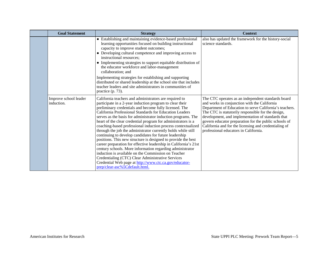| <b>Goal Statement</b>               | <b>Strategy</b>                                                                                                                                                                                                                                                                                                                                                                                                                                                                                                                                                                                                                                                                                                                                                                                                                                                                                                                                                                | <b>Context</b>                                                                                                                                                                                                                                                                                                                                                                                                                      |
|-------------------------------------|--------------------------------------------------------------------------------------------------------------------------------------------------------------------------------------------------------------------------------------------------------------------------------------------------------------------------------------------------------------------------------------------------------------------------------------------------------------------------------------------------------------------------------------------------------------------------------------------------------------------------------------------------------------------------------------------------------------------------------------------------------------------------------------------------------------------------------------------------------------------------------------------------------------------------------------------------------------------------------|-------------------------------------------------------------------------------------------------------------------------------------------------------------------------------------------------------------------------------------------------------------------------------------------------------------------------------------------------------------------------------------------------------------------------------------|
|                                     | • Establishing and maintaining evidence-based professional<br>learning opportunities focused on building instructional<br>capacity to improve student outcomes;<br>• Developing cultural competence and improving access to<br>instructional resources;<br>• Implementing strategies to support equitable distribution of<br>the educator workforce and labor-management<br>collaboration; and<br>Implementing strategies for establishing and supporting<br>distributed or shared leadership at the school site that includes<br>teacher leaders and site administrators in communities of<br>practice $(p. 73)$ .                                                                                                                                                                                                                                                                                                                                                            | also has updated the framework for the history-social<br>science standards.                                                                                                                                                                                                                                                                                                                                                         |
| Improve school leader<br>induction. | California teachers and administrators are required to<br>participate in a 2-year induction program to clear their<br>preliminary credentials and become fully licensed. The<br>California Professional Standards for Education Leaders<br>serves as the basis for administrator induction programs. The<br>heart of the clear credential program for administrators is a<br>coaching-based professional induction process contextualized<br>through the job the administrator currently holds while still<br>continuing to develop candidates for future leadership<br>positions. This new structure is designed to provide the best<br>career preparation for effective leadership in California's 21st<br>century schools. More information regarding administrator<br>induction is available on the Commission on Teacher<br>Credentialing (CTC) Clear Administrative Services<br>Credential Web page at http://www.ctc.ca.gov/educator-<br>prep/clear-asc%5Cdefault.html. | The CTC operates as an independent standards board<br>and works in conjunction with the California<br>Department of Education to serve California's teachers.<br>The CTC is statutorily responsible for the design,<br>development, and implementation of standards that<br>govern educator preparation for the public schools of<br>California and for the licensing and credentialing of<br>professional educators in California. |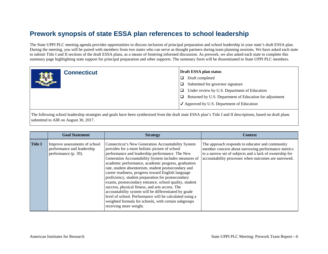The State UPPI PLC meeting agenda provides opportunities to discuss inclusion of principal preparation and school leadership in your state's draft ESSA plan. During the meeting, you will be paired with members from two states who can serve as thought partners during team planning sessions. We have asked each state to submit Title I and II sections of the draft ESSA plans, as a means of fostering informed discussion. As prework, we also asked each state to complete this summary page highlighting state support for principal preparation and other supports. The summary form will be disseminated to State UPPI PLC members.

|    | <b>Connecticut</b> | Draft ESSA plan status                                  |
|----|--------------------|---------------------------------------------------------|
| 图解 |                    | Draft completed                                         |
|    |                    | Submitted for governor signature                        |
|    |                    | Under review by U.S. Department of Education            |
|    |                    | Returned by U.S. Department of Education for adjustment |
|    |                    | $\checkmark$ Approved by U.S. Department of Education   |

|                | <b>Goal Statement</b>                                                               | <b>Strategy</b>                                                                                                                                                                                                                                                                                                                                                                                                                                                                                                                                                                                                                                                                                                                                                | <b>Context</b>                                                                                                                                                                                                           |
|----------------|-------------------------------------------------------------------------------------|----------------------------------------------------------------------------------------------------------------------------------------------------------------------------------------------------------------------------------------------------------------------------------------------------------------------------------------------------------------------------------------------------------------------------------------------------------------------------------------------------------------------------------------------------------------------------------------------------------------------------------------------------------------------------------------------------------------------------------------------------------------|--------------------------------------------------------------------------------------------------------------------------------------------------------------------------------------------------------------------------|
| <b>Title I</b> | Improve assessments of school<br>performance and leadership<br>performance (p. 39). | Connecticut's New Generation Accountability System<br>provides for a more holistic picture of school<br>performance and leadership performance. The New<br>Generation Accountability System includes measures of<br>academic performance, academic progress, graduation<br>rate, student absenteeism, student postsecondary and<br>career readiness, progress toward English language<br>proficiency, student preparation for postsecondary<br>exams, postsecondary entrance, school quality, student<br>success, physical fitness, and arts access. The<br>accountability system will be differentiated by grade<br>level of school. Performance will be calculated using a<br>weighted formula for schools, with certain subgroups<br>receiving more weight. | The approach responds to educator and community<br>member concern about narrowing performance metrics<br>to a narrow set of subjects and a lack of ownership for<br>accountability processes when outcomes are narrowed. |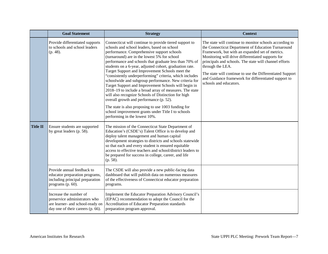|                 | <b>Goal Statement</b>                                                                                                            | <b>Strategy</b>                                                                                                                                                                                                                                                                                                                                                                                                                                                                                                                                                                                                                                                                                                                                                                                                                                                    | <b>Context</b>                                                                                                                                                                                                                                                                                                                                                                                                                                     |
|-----------------|----------------------------------------------------------------------------------------------------------------------------------|--------------------------------------------------------------------------------------------------------------------------------------------------------------------------------------------------------------------------------------------------------------------------------------------------------------------------------------------------------------------------------------------------------------------------------------------------------------------------------------------------------------------------------------------------------------------------------------------------------------------------------------------------------------------------------------------------------------------------------------------------------------------------------------------------------------------------------------------------------------------|----------------------------------------------------------------------------------------------------------------------------------------------------------------------------------------------------------------------------------------------------------------------------------------------------------------------------------------------------------------------------------------------------------------------------------------------------|
|                 | Provide differentiated supports<br>to schools and school leaders<br>(p. 48).                                                     | Connecticut will continue to provide tiered support to<br>schools and school leaders, based on school<br>performance. Comprehensive support schools<br>(turnaround) are in the lowest 5% for school<br>performance and schools that graduate less than 70% of<br>students on a 6-year, adjusted cohort, graduation rate.<br>Target Support and Improvement Schools meet the<br>"consistently underperforming" criteria, which includes<br>schoolwide and subgroup performance. New criteria for<br>Target Support and Improvement Schools will begin in<br>2018–19 to include a broad array of measures. The state<br>will also recognize Schools of Distinction for high<br>overall growth and performance (p. 52).<br>The state is also proposing to use 1003 funding for<br>school improvement grants under Title I to schools<br>performing in the lowest 10%. | The state will continue to monitor schools according to<br>the Connecticut Department of Education Turnaround<br>Framework, but with an expanded set of metrics.<br>Monitoring will drive differentiated supports for<br>principals and schools. The state will channel efforts<br>through the LEA.<br>The state will continue to use the Differentiated Support<br>and Guidance framework for differentiated support to<br>schools and educators. |
| <b>Title II</b> | Ensure students are supported<br>by great leaders (p. 58).                                                                       | The mission of the Connecticut State Department of<br>Education's (CSDE's) Talent Office is to develop and<br>deploy talent management and human capital<br>development strategies to districts and schools statewide<br>so that each and every student is ensured equitable<br>access to effective teachers and school/district leaders to<br>be prepared for success in college, career, and life<br>(p. 58).                                                                                                                                                                                                                                                                                                                                                                                                                                                    |                                                                                                                                                                                                                                                                                                                                                                                                                                                    |
|                 | Provide annual feedback to<br>educator preparation programs,<br>including principal preparation<br>programs (p. 60).             | The CSDE will also provide a new public-facing data<br>dashboard that will publish data on numerous measures<br>of the effectiveness of Connecticut educator preparation<br>programs.                                                                                                                                                                                                                                                                                                                                                                                                                                                                                                                                                                                                                                                                              |                                                                                                                                                                                                                                                                                                                                                                                                                                                    |
|                 | Increase the number of<br>preservice administrators who<br>are learner- and school-ready on<br>day one of their careers (p. 66). | Implement the Educator Preparation Advisory Council's<br>(EPAC) recommendation to adopt the Council for the<br>Accreditation of Educator Preparation standards<br>preparation program approval.                                                                                                                                                                                                                                                                                                                                                                                                                                                                                                                                                                                                                                                                    |                                                                                                                                                                                                                                                                                                                                                                                                                                                    |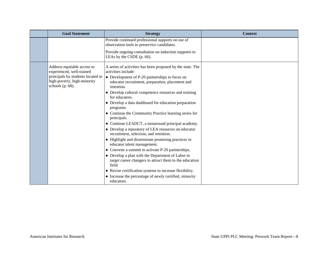| <b>Goal Statement</b>                                                                                                                               | <b>Strategy</b>                                                                                                                                                                                                                                                                                                                                                                                                                                                                                                                                                                                                                                                                                                                                                                                                                                                | <b>Context</b> |
|-----------------------------------------------------------------------------------------------------------------------------------------------------|----------------------------------------------------------------------------------------------------------------------------------------------------------------------------------------------------------------------------------------------------------------------------------------------------------------------------------------------------------------------------------------------------------------------------------------------------------------------------------------------------------------------------------------------------------------------------------------------------------------------------------------------------------------------------------------------------------------------------------------------------------------------------------------------------------------------------------------------------------------|----------------|
|                                                                                                                                                     | Provide continued professional supports on use of<br>observation tools to preservice candidates.                                                                                                                                                                                                                                                                                                                                                                                                                                                                                                                                                                                                                                                                                                                                                               |                |
|                                                                                                                                                     | Provide ongoing consultation on induction supports to<br>LEAs by the CSDE (p. 66).                                                                                                                                                                                                                                                                                                                                                                                                                                                                                                                                                                                                                                                                                                                                                                             |                |
| Address equitable access to<br>experienced, well-trained<br>principals by students located in<br>high-poverty, high-minority<br>schools (p. $68$ ). | A series of activities has been proposed by the state. The<br>activities include:<br>$\bullet$ Development of P-20 partnerships to focus on<br>educator recruitment, preparation, placement and<br>retention.<br>• Develop cultural competence resources and training<br>for educators.<br>• Develop a data dashboard for education preparation<br>programs.<br>• Continue the Community Practice learning series for<br>principals.<br>• Continue LEADCT, a turnaround principal academy.<br>• Develop a repository of LEA resources on educator<br>recruitment, selection, and retention.<br>• Highlight and disseminate promising practices in<br>educator talent management.<br>• Convene a summit to activate P-20 partnerships.<br>• Develop a plan with the Department of Labor to<br>target career changers to attract them to the education<br>field. |                |
|                                                                                                                                                     | • Revise certification systems to increase flexibility.<br>• Increase the percentage of newly certified, minority                                                                                                                                                                                                                                                                                                                                                                                                                                                                                                                                                                                                                                                                                                                                              |                |
|                                                                                                                                                     | educators.                                                                                                                                                                                                                                                                                                                                                                                                                                                                                                                                                                                                                                                                                                                                                                                                                                                     |                |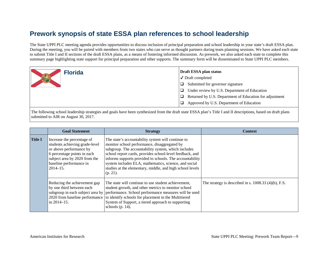The State UPPI PLC meeting agenda provides opportunities to discuss inclusion of principal preparation and school leadership in your state's draft ESSA plan. During the meeting, you will be paired with members from two states who can serve as thought partners during team planning sessions. We have asked each state to submit Title I and II sections of the draft ESSA plans, as a means of fostering informed discussion. As prework, we also asked each state to complete this summary page highlighting state support for principal preparation and other supports. The summary form will be disseminated to State UPPI PLC members.

| <b>Florida</b> | Draft ESSA plan status                                       |
|----------------|--------------------------------------------------------------|
|                | $\sqrt{}$ Draft completed                                    |
|                | Submitted for governor signature                             |
|                | Under review by U.S. Department of Education<br>□            |
|                | Returned by U.S. Department of Education for adjustment<br>□ |
|                | Approved by U.S. Department of Education                     |

|                | <b>Goal Statement</b>                                                                                                                                                                              | <b>Strategy</b>                                                                                                                                                                                                                                                                                                                                                                                                        | <b>Context</b>                                         |
|----------------|----------------------------------------------------------------------------------------------------------------------------------------------------------------------------------------------------|------------------------------------------------------------------------------------------------------------------------------------------------------------------------------------------------------------------------------------------------------------------------------------------------------------------------------------------------------------------------------------------------------------------------|--------------------------------------------------------|
| <b>Title I</b> | Increase the percentage of<br>students achieving grade-level<br>or above performance by<br>6 percentage points in each<br>subject area by 2020 from the<br>baseline performance in<br>$2014 - 15.$ | The state's accountability system will continue to<br>monitor school performance, disaggregated by<br>subgroup. The accountability system, which includes<br>school report cards, provides school-level feedback, and<br>informs supports provided to schools. The accountability<br>system includes ELA, mathematics, science, and social<br>studies at the elementary, middle, and high school levels<br>$(p. 21)$ . |                                                        |
|                | Reducing the achievement gap<br>by one third between each<br>in 2014-15.                                                                                                                           | The state will continue to use student achievement,<br>student growth, and other metrics to monitor school<br>subgroup in each subject area by performance. School performance measures will be used<br>2020 from baseline performance to identify schools for placement in the Multitiered<br>System of Support, a tiered approach to supporting<br>schools $(p. 14)$ .                                               | The strategy is described in s. $1008.33$ (4)(b), F.S. |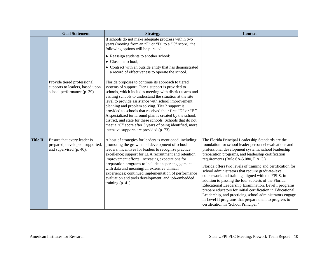|                 | <b>Goal Statement</b>                                                                         | <b>Strategy</b>                                                                                                                                                                                                                                                                                                                                                                                                                                                                                                                                                                                                                         | <b>Context</b>                                                                                                                                                                                                                                                                                                                                                                                                                                                                                                                                                                                                                                                                                                                                                                        |
|-----------------|-----------------------------------------------------------------------------------------------|-----------------------------------------------------------------------------------------------------------------------------------------------------------------------------------------------------------------------------------------------------------------------------------------------------------------------------------------------------------------------------------------------------------------------------------------------------------------------------------------------------------------------------------------------------------------------------------------------------------------------------------------|---------------------------------------------------------------------------------------------------------------------------------------------------------------------------------------------------------------------------------------------------------------------------------------------------------------------------------------------------------------------------------------------------------------------------------------------------------------------------------------------------------------------------------------------------------------------------------------------------------------------------------------------------------------------------------------------------------------------------------------------------------------------------------------|
|                 |                                                                                               | If schools do not make adequate progress within two<br>years (moving from an "F" or "D" to a "C" score), the<br>following options will be pursued:                                                                                                                                                                                                                                                                                                                                                                                                                                                                                      |                                                                                                                                                                                                                                                                                                                                                                                                                                                                                                                                                                                                                                                                                                                                                                                       |
|                 |                                                                                               | • Reassign students to another school;<br>• Close the school;<br>• Contract with an outside entity that has demonstrated<br>a record of effectiveness to operate the school.                                                                                                                                                                                                                                                                                                                                                                                                                                                            |                                                                                                                                                                                                                                                                                                                                                                                                                                                                                                                                                                                                                                                                                                                                                                                       |
|                 | Provide tiered professional<br>supports to leaders, based upon<br>school performance (p. 29). | Florida proposes to continue its approach to tiered<br>systems of support. Tier 1 support is provided to<br>schools, which includes meeting with district teams and<br>visiting schools to understand the situation at the site<br>level to provide assistance with school improvement<br>planning and problem solving. Tier 2 support is<br>provided to schools that received their first "D" or "F."<br>A specialized turnaround plan is created by the school,<br>district, and state for these schools. Schools that do not<br>meet a "C" score after 3 years of being identified, more<br>intensive supports are provided (p. 73). |                                                                                                                                                                                                                                                                                                                                                                                                                                                                                                                                                                                                                                                                                                                                                                                       |
| <b>Title II</b> | Ensure that every leader is<br>prepared, developed, supported,<br>and supervised (p. 40).     | A host of strategies for leaders is mentioned, including:<br>promoting the growth and development of school<br>leaders; incentives for leaders to recognize practice<br>excellence; support for LEA recruitment and retention<br>improvement efforts; increasing expectations for<br>preparation programs to include deeper engagement<br>with data and meaningful, extensive clinical<br>experiences; continued implementation of performance<br>evaluation and tools development; and job-embedded<br>training $(p. 41)$ .                                                                                                            | The Florida Principal Leadership Standards are the<br>foundation for school leader personnel evaluations and<br>professional development systems, school leadership<br>preparation programs, and leadership certification<br>requirements (Rule 6A-5.080, F.A.C.).<br>Florida offers two levels of training and certification for<br>school administrators that require graduate-level<br>coursework and training aligned with the FPLS, in<br>addition to passing the four subtests of the Florida<br>Educational Leadership Examination. Level I programs<br>prepare educators for initial certification in Educational<br>Leadership, and practicing school administrators engage<br>in Level II programs that prepare them to progress to<br>certification in 'School Principal.' |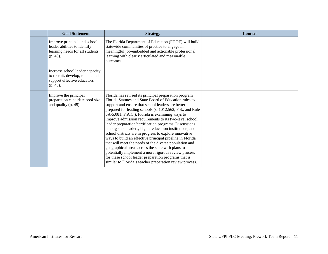| <b>Goal Statement</b>                                                                                             | <b>Strategy</b>                                                                                                                                                                                                                                                                                                                                                                                                                                                                                                                                                                                                                                                                                                                                                                                                                                                                      | <b>Context</b> |
|-------------------------------------------------------------------------------------------------------------------|--------------------------------------------------------------------------------------------------------------------------------------------------------------------------------------------------------------------------------------------------------------------------------------------------------------------------------------------------------------------------------------------------------------------------------------------------------------------------------------------------------------------------------------------------------------------------------------------------------------------------------------------------------------------------------------------------------------------------------------------------------------------------------------------------------------------------------------------------------------------------------------|----------------|
| Improve principal and school<br>leader abilities to identify<br>learning needs for all students<br>(p. 43).       | The Florida Department of Education (FDOE) will build<br>statewide communities of practice to engage in<br>meaningful job-embedded and actionable professional<br>learning with clearly articulated and measurable<br>outcomes.                                                                                                                                                                                                                                                                                                                                                                                                                                                                                                                                                                                                                                                      |                |
| Increase school leader capacity<br>to recruit, develop, retain, and<br>support effective educators<br>$(p. 43)$ . |                                                                                                                                                                                                                                                                                                                                                                                                                                                                                                                                                                                                                                                                                                                                                                                                                                                                                      |                |
| Improve the principal<br>preparation candidate pool size<br>and quality (p. 45).                                  | Florida has revised its principal preparation program<br>Florida Statutes and State Board of Education rules to<br>support and ensure that school leaders are better<br>prepared for leading schools (s. 1012.562, F.S., and Rule<br>6A-5.081, F.A.C.). Florida is examining ways to<br>improve admission requirements to its two-level school<br>leader preparation/certification programs. Discussions<br>among state leaders, higher education institutions, and<br>school districts are in progress to explore innovative<br>ways to build an effective principal pipeline in Florida<br>that will meet the needs of the diverse population and<br>geographical areas across the state with plans to<br>potentially implement a more rigorous review process<br>for these school leader preparation programs that is<br>similar to Florida's teacher preparation review process. |                |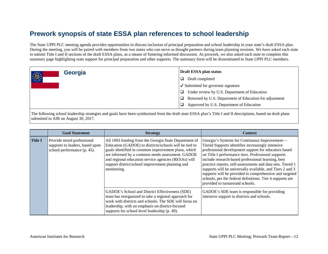The State UPPI PLC meeting agenda provides opportunities to discuss inclusion of principal preparation and school leadership in your state's draft ESSA plan. During the meeting, you will be paired with members from two states who can serve as thought partners during team planning sessions. We have asked each state to submit Title I and II sections of the draft ESSA plans, as a means of fostering informed discussion. As prework, we also asked each state to complete this summary page highlighting state support for principal preparation and other supports. The summary form will be disseminated to State UPPI PLC members.

| Georgia | Draft ESSA plan status                                       |
|---------|--------------------------------------------------------------|
| 11      | $\Box$<br>Draft completed                                    |
|         | $\sqrt{\phantom{a}}$ Submitted for governor signature        |
|         | Under review by U.S. Department of Education<br>□            |
|         | Returned by U.S. Department of Education for adjustment<br>□ |
|         | Approved by U.S. Department of Education                     |
|         |                                                              |

|                | <b>Goal Statement</b>                                                                         | <b>Strategy</b>                                                                                                                                                                                                                                                                                                                                       | <b>Context</b>                                                                                                                                                                                                                                                                                                                                                                                                                                                                                                                                                |
|----------------|-----------------------------------------------------------------------------------------------|-------------------------------------------------------------------------------------------------------------------------------------------------------------------------------------------------------------------------------------------------------------------------------------------------------------------------------------------------------|---------------------------------------------------------------------------------------------------------------------------------------------------------------------------------------------------------------------------------------------------------------------------------------------------------------------------------------------------------------------------------------------------------------------------------------------------------------------------------------------------------------------------------------------------------------|
| <b>Title I</b> | Provide tiered professional<br>supports to leaders, based upon<br>school performance (p. 45). | All 1003 funding from the Georgia State Department of<br>Education (GADOE) to districts/schools will be tied to<br>goals identified in common improvement plans, which<br>are informed by a common needs assessment. GADOE<br>and regional education service agencies (RESAs) will<br>support district/school improvement planning and<br>monitoring. | Georgia's Systems for Continuous Improvement—<br>Tiered Supports identifies increasingly intensive<br>professional development support for educators based<br>on Title I performance tiers. Professional supports<br>include research-based professional learning, best<br>practice reports, self-assessments and data sets. Tiered 1<br>supports will be universally available, and Tiers 2 and 3<br>supports will be provided to comprehensive and targeted<br>schools, per the federal definitions. Tier 4 supports are<br>provided to turnaround schools. |
|                |                                                                                               | GADOE's School and District Effectiveness (SDE)<br>team has reorganized to take a regional approach for<br>work with districts and schools. The SDE will focus on<br>leadership, with an emphasis on district-focused<br>supports for school-level leadership (p. 49).                                                                                | GADOE's SDE team is responsible for providing<br>intensive support to districts and schools.                                                                                                                                                                                                                                                                                                                                                                                                                                                                  |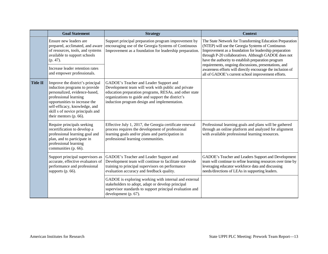|  |                                                                                                                                                                                                                                                                                                               | <b>Goal Statement</b>                                                                                                                                                                                                                                          | <b>Strategy</b>                                                                                                                                                                                                                                             | <b>Context</b>                                                                                                                                                                                                                                                                                                                                                                                                                                                      |
|--|---------------------------------------------------------------------------------------------------------------------------------------------------------------------------------------------------------------------------------------------------------------------------------------------------------------|----------------------------------------------------------------------------------------------------------------------------------------------------------------------------------------------------------------------------------------------------------------|-------------------------------------------------------------------------------------------------------------------------------------------------------------------------------------------------------------------------------------------------------------|---------------------------------------------------------------------------------------------------------------------------------------------------------------------------------------------------------------------------------------------------------------------------------------------------------------------------------------------------------------------------------------------------------------------------------------------------------------------|
|  |                                                                                                                                                                                                                                                                                                               | Ensure new leaders are<br>prepared, acclimated, and aware<br>of resources, tools, and systems<br>available to support schools<br>$(p. 47)$ .<br>Increase leader retention rates<br>and empower professionals.                                                  | Support principal preparation program improvement by<br>encouraging use of the Georgia Systems of Continuous<br>Improvement as a foundation for leadership preparation.                                                                                     | The State Network for Transforming Education Preparation<br>(NTEP) will use the Georgia Systems of Continuous<br>Improvement as a foundation for leadership preparation<br>through P-20 collaboratives. Although GADOE does not<br>have the authority to establish preparation program<br>requirements, ongoing discussions, presentations, and<br>awareness efforts will directly encourage the inclusion of<br>all of GADOE's current school improvement efforts. |
|  | <b>Title II</b>                                                                                                                                                                                                                                                                                               | Improve the district's principal<br>induction programs to provide<br>personalized, evidence-based,<br>professional learning<br>opportunities to increase the<br>self-efficacy, knowledge, and<br>skill s of novice principals and<br>their mentors $(p. 66)$ . | GADOE's Teacher and Leader Support and<br>Development team will work with public and private<br>education preparation programs, RESAs, and other state<br>organizations to guide and support the district's<br>induction program design and implementation. |                                                                                                                                                                                                                                                                                                                                                                                                                                                                     |
|  | Require principals seeking<br>recertification to develop a<br>professional learning goal and<br>plan, and to participate in<br>professional learning<br>communities (p. 66).<br>Support principal supervisors as<br>accurate, effective evaluators of<br>performance and professional<br>supports $(p. 66)$ . |                                                                                                                                                                                                                                                                | Effective July 1, 2017, the Georgia certificate renewal<br>process requires the development of professional<br>learning goals and/or plans and participation in<br>professional learning communities.                                                       | Professional learning goals and plans will be gathered<br>through an online platform and analyzed for alignment<br>with available professional learning resources.                                                                                                                                                                                                                                                                                                  |
|  |                                                                                                                                                                                                                                                                                                               |                                                                                                                                                                                                                                                                | GADOE's Teacher and Leader Support and<br>Development team will continue to facilitate statewide<br>training to principal supervisors on performance<br>evaluation accuracy and feedback quality.                                                           | GADOE's Teacher and Leaders Support and Development<br>team will continue to refine learning resources over time by<br>leveraging educator workforce data and discussing<br>needs/directions of LEAs in supporting leaders.                                                                                                                                                                                                                                         |
|  |                                                                                                                                                                                                                                                                                                               |                                                                                                                                                                                                                                                                | GADOE is exploring working with internal and external<br>stakeholders to adopt, adapt or develop principal<br>supervisor standards to support principal evaluation and<br>development (p. 67).                                                              |                                                                                                                                                                                                                                                                                                                                                                                                                                                                     |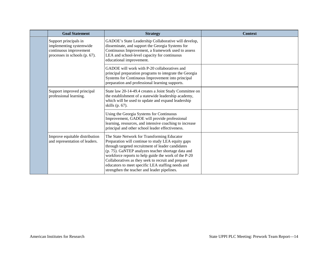| <b>Goal Statement</b>                                                                                       | <b>Strategy</b>                                                                                                                                                                                                                                                                                                                                                                                                                 | <b>Context</b> |
|-------------------------------------------------------------------------------------------------------------|---------------------------------------------------------------------------------------------------------------------------------------------------------------------------------------------------------------------------------------------------------------------------------------------------------------------------------------------------------------------------------------------------------------------------------|----------------|
| Support principals in<br>implementing systemwide<br>continuous improvement<br>processes in schools (p. 67). | GADOE's State Leadership Collaborative will develop,<br>disseminate, and support the Georgia Systems for<br>Continuous Improvement, a framework used to assess<br>LEA and school-level capacity for continuous<br>educational improvement.                                                                                                                                                                                      |                |
|                                                                                                             | GADOE will work with P-20 collaboratives and<br>principal preparation programs to integrate the Georgia<br>Systems for Continuous Improvement into principal<br>preparation and professional learning supports.                                                                                                                                                                                                                 |                |
| Support improved principal<br>professional learning.                                                        | State law 20-14-49.4 creates a Joint Study Committee on<br>the establishment of a statewide leadership academy,<br>which will be used to update and expand leadership<br>skills (p. 67).                                                                                                                                                                                                                                        |                |
|                                                                                                             | Using the Georgia Systems for Continuous<br>Improvement, GADOE will provide professional<br>learning, resources, and intensive coaching to increase<br>principal and other school leader effectiveness.                                                                                                                                                                                                                         |                |
| Improve equitable distribution<br>and representation of leaders.                                            | The State Network for Transforming Educator<br>Preparation will continue to study LEA equity gaps<br>through targeted recruitment of leader candidates<br>(p. 75). GaNTEP analyzes teacher shortage data and<br>workforce reports to help guide the work of the P-20<br>Collaboratives as they seek to recruit and prepare<br>educators to meet specific LEA staffing needs and<br>strengthen the teacher and leader pipelines. |                |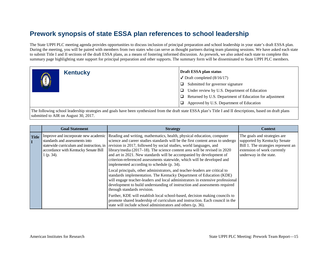The State UPPI PLC meeting agenda provides opportunities to discuss inclusion of principal preparation and school leadership in your state's draft ESSA plan. During the meeting, you will be paired with members from two states who can serve as thought partners during team planning sessions. We have asked each state to submit Title I and II sections of the draft ESSA plans, as a means of fostering informed discussion. As prework, we also asked each state to complete this summary page highlighting state support for principal preparation and other supports. The summary form will be disseminated to State UPPI PLC members.



|              | <b>Goal Statement</b>                                                                                                          | <b>Strategy</b>                                                                                                                                                                                                                                                                                                                                                                                                                                                                                                                                                                   | <b>Context</b>                                                                                                                                               |
|--------------|--------------------------------------------------------------------------------------------------------------------------------|-----------------------------------------------------------------------------------------------------------------------------------------------------------------------------------------------------------------------------------------------------------------------------------------------------------------------------------------------------------------------------------------------------------------------------------------------------------------------------------------------------------------------------------------------------------------------------------|--------------------------------------------------------------------------------------------------------------------------------------------------------------|
| <b>Title</b> | Improve and incorporate new academic<br>standards and assessments into<br>accordance with Kentucky Senate Bill<br>$1$ (p. 34). | Reading and writing, mathematics, health, physical education, computer<br>science and career studies standards will be the first content areas to undergo<br>statewide curriculum and instruction, in revision in 2017, followed by social studies, world languages, and<br>library/media (2017–18). The science content area will be revised in 2020<br>and art in 2021. New standards will be accompanied by development of<br>criterion-referenced assessments statewide, which will be developed and<br>implemented according to schedule (p. 34).                            | The goals and strategies are<br>supported by Kentucky Senate<br>Bill 1. The strategies represent an<br>extension of work currently<br>underway in the state. |
|              |                                                                                                                                | Local principals, other administrators, and teacher-leaders are critical to<br>standards implementation. The Kentucky Department of Education (KDE)<br>will engage teacher-leaders and local administrators in extensive professional<br>development to build understanding of instruction and assessments required<br>through standards revision.<br>Further, KDE will establish local school-based, decision making councils to<br>promote shared leadership of curriculum and instruction. Each council in the<br>state will include school administrators and others (p. 36). |                                                                                                                                                              |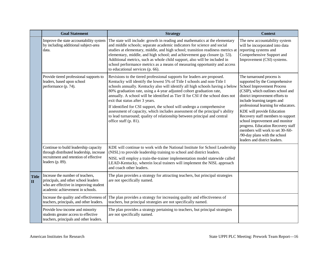|                              | <b>Goal Statement</b>                                                                                                                                                                                                                                                                                                                                                                                                                                                                                                                                                                                            | <b>Strategy</b>                                                                                                                                                                                                                                                                                                                                                                                                                                                                                                                                                                                                                                                                                   | <b>Context</b>                                                                                                                                                                                                                                                                                                                                                                                                                                                                                    |
|------------------------------|------------------------------------------------------------------------------------------------------------------------------------------------------------------------------------------------------------------------------------------------------------------------------------------------------------------------------------------------------------------------------------------------------------------------------------------------------------------------------------------------------------------------------------------------------------------------------------------------------------------|---------------------------------------------------------------------------------------------------------------------------------------------------------------------------------------------------------------------------------------------------------------------------------------------------------------------------------------------------------------------------------------------------------------------------------------------------------------------------------------------------------------------------------------------------------------------------------------------------------------------------------------------------------------------------------------------------|---------------------------------------------------------------------------------------------------------------------------------------------------------------------------------------------------------------------------------------------------------------------------------------------------------------------------------------------------------------------------------------------------------------------------------------------------------------------------------------------------|
|                              | The state will include: growth in reading and mathematics at the elementary<br>Improve the state accountability system<br>and middle schools; separate academic indicators for science and social<br>by including additional subject-area<br>studies at elementary, middle, and high school; transition readiness metrics at<br>data.<br>elementary, middle, and high school; and achievement gap closure (p. 53).<br>Additional metrics, such as whole child support, also will be included in<br>school performance metrics as a means of measuring opportunity and access<br>to educational services (p. 66). |                                                                                                                                                                                                                                                                                                                                                                                                                                                                                                                                                                                                                                                                                                   | The new accountability system<br>will be incorporated into data<br>reporting systems and<br>Comprehensive Support and<br>Improvement (CSI) systems.                                                                                                                                                                                                                                                                                                                                               |
|                              | Provide tiered professional supports to<br>leaders, based upon school<br>performance (p. 74).                                                                                                                                                                                                                                                                                                                                                                                                                                                                                                                    | Revisions to the tiered professional supports for leaders are proposed.<br>Kentucky will identify the lowest 5% of Title I schools and non-Title I<br>schools annually. Kentucky also will identify all high schools having a below<br>80% graduation rate, using a 4-year adjusted cohort graduation rate,<br>annually. A school will be identified as Tier II for CSI if the school does not<br>exit that status after 3 years.<br>If identified for CSI support, the school will undergo a comprehensive<br>assessment of capacity, which includes assessment of the principal's ability<br>to lead turnaround; quality of relationship between principal and central<br>office staff (p. 81). | The turnaround process is<br>supported by the Comprehensive<br><b>School Improvement Process</b><br>(CSIP), which outlines school and<br>district improvement efforts to<br>include learning targets and<br>professional learning for educators.<br>KDE will provide Education<br>Recovery staff members to support<br>school improvement and monitor<br>progress. Education Recovery staff<br>members will work to set 30-/60-<br>/90-day plans with the school<br>leaders and district leaders. |
|                              | Continue to build leadership capacity<br>through distributed leadership, increase<br>recruitment and retention of effective<br>leaders (p. 89).                                                                                                                                                                                                                                                                                                                                                                                                                                                                  | KDE will continue to work with the National Institute for School Leadership<br>(NISL) to provide leadership training to school and district leaders.<br>NISL will employ a train-the-trainer implementation model statewide called<br>LEAD-Kentucky, wherein local trainers will implement the NISL approach<br>and coach other leaders.                                                                                                                                                                                                                                                                                                                                                          |                                                                                                                                                                                                                                                                                                                                                                                                                                                                                                   |
| <b>Title</b><br>$\mathbf{I}$ | Increase the number of teachers,<br>principals, and other school leaders<br>who are effective in improving student<br>academic achievement in schools.                                                                                                                                                                                                                                                                                                                                                                                                                                                           | The plan provides a strategy for attracting teachers, but principal strategies<br>are not specifically named.                                                                                                                                                                                                                                                                                                                                                                                                                                                                                                                                                                                     |                                                                                                                                                                                                                                                                                                                                                                                                                                                                                                   |
|                              | Increase the quality and effectiveness of<br>teachers, principals, and other leaders.                                                                                                                                                                                                                                                                                                                                                                                                                                                                                                                            | The plan provides a strategy for increasing quality and effectiveness of<br>teachers, but principal strategies are not specifically named.                                                                                                                                                                                                                                                                                                                                                                                                                                                                                                                                                        |                                                                                                                                                                                                                                                                                                                                                                                                                                                                                                   |
|                              | Provide low-income and minority<br>students greater access to effective<br>teachers, principals and other leaders.                                                                                                                                                                                                                                                                                                                                                                                                                                                                                               | The plan provides a strategy pertaining to teachers, but principal strategies<br>are not specifically named.                                                                                                                                                                                                                                                                                                                                                                                                                                                                                                                                                                                      |                                                                                                                                                                                                                                                                                                                                                                                                                                                                                                   |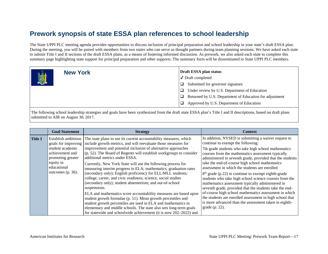The State UPPI PLC meeting agenda provides opportunities to discuss inclusion of principal preparation and school leadership in your state's draft ESSA plan. During the meeting, you will be paired with members from two states who can serve as thought partners during team planning sessions. We have asked each state to submit Title I and II sections of the draft ESSA plans, as a means of fostering informed discussion. As prework, we also asked each state to complete this summary page highlighting state support for principal preparation and other supports. The summary form will be disseminated to State UPPI PLC members.

| <b>New York</b> | Draft ESSA plan status                                  |
|-----------------|---------------------------------------------------------|
|                 | $\sqrt{\phantom{a}}$ Draft completed                    |
|                 | Submitted for governor signature                        |
|                 | Under review by U.S. Department of Education            |
|                 | Returned by U.S. Department of Education for adjustment |
|                 | Approved by U.S. Department of Education                |

|                | <b>Goal Statement</b>                                                                                                                                      | <b>Strategy</b>                                                                                                                                                                                                                                                                                                                                                                                                                                                                                                                                                                                                                                                                                                                                                                                                                                                                                                                                                                                               | <b>Context</b>                                                                                                                                                                                                                                                                                                                                                                                                                                                                                                                                                                                                                                                                                                                                                                                          |
|----------------|------------------------------------------------------------------------------------------------------------------------------------------------------------|---------------------------------------------------------------------------------------------------------------------------------------------------------------------------------------------------------------------------------------------------------------------------------------------------------------------------------------------------------------------------------------------------------------------------------------------------------------------------------------------------------------------------------------------------------------------------------------------------------------------------------------------------------------------------------------------------------------------------------------------------------------------------------------------------------------------------------------------------------------------------------------------------------------------------------------------------------------------------------------------------------------|---------------------------------------------------------------------------------------------------------------------------------------------------------------------------------------------------------------------------------------------------------------------------------------------------------------------------------------------------------------------------------------------------------------------------------------------------------------------------------------------------------------------------------------------------------------------------------------------------------------------------------------------------------------------------------------------------------------------------------------------------------------------------------------------------------|
| <b>Title I</b> | Establish ambitious<br>goals for improving<br>student academic<br>achievement and<br>promoting greater<br>equity in<br>educational<br>outcomes $(p. 36)$ . | The state plans to use its current accountability measures, which<br>include growth metrics, and will reevaluate those measures for<br>improvement and potential inclusion of alternative approaches<br>(p. 52). The Board of Regents will establish workgroups to consider<br>additional metrics under ESSA.<br>Currently, New York State will use the following process for<br>measuring interim progress in ELA; mathematics; graduation rates<br>(secondary only); English proficiency for ELL/MLL students;<br>college, career, and civic readiness; science; social studies<br>(secondary only); student absenteeism; and out-of-school<br>suspensions.<br>ELA and mathematics score accountability measures are based upon<br>student growth formulae (p. 51). Mean growth percentiles and<br>student growth percentiles are used in ELA and mathematics in<br>elementary and middle schools. The state also sets long-term goals<br>for statewide and schoolwide achievement (it is now 202–2022) and | In addition, NYSED is submitting a waiver request to<br>continue to exempt the following:<br>7th grade students who take high school mathematics<br>courses from the mathematics assessment typically<br>administered in seventh grade, provided that the students<br>take the end-of-course high school mathematics<br>assessment in which the students are enrolled<br>$8th$ grade (p.22) to continue to exempt eighth-grade<br>students who take high school science courses from the<br>mathematics assessment typically administered in<br>seventh grade, provided that the students take the end-<br>of-course high school mathematics assessment in which<br>the students are enrolled assessment in high school that<br>is more advanced than the assessment taken in eighth-<br>grade (p. 22). |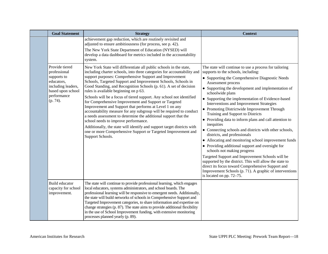| <b>Goal Statement</b>                                                                                                             | <b>Strategy</b>                                                                                                                                                                                                                                                                                                                                                                                                                                                                                                                                                                                                                                                                                                                                                                                                                                                                                                                       | <b>Context</b>                                                                                                                                                                                                                                                                                                                                                                                                                                                                                                                                                                                                                                                                                                                                                                                                                                                                                                                                                                                                 |
|-----------------------------------------------------------------------------------------------------------------------------------|---------------------------------------------------------------------------------------------------------------------------------------------------------------------------------------------------------------------------------------------------------------------------------------------------------------------------------------------------------------------------------------------------------------------------------------------------------------------------------------------------------------------------------------------------------------------------------------------------------------------------------------------------------------------------------------------------------------------------------------------------------------------------------------------------------------------------------------------------------------------------------------------------------------------------------------|----------------------------------------------------------------------------------------------------------------------------------------------------------------------------------------------------------------------------------------------------------------------------------------------------------------------------------------------------------------------------------------------------------------------------------------------------------------------------------------------------------------------------------------------------------------------------------------------------------------------------------------------------------------------------------------------------------------------------------------------------------------------------------------------------------------------------------------------------------------------------------------------------------------------------------------------------------------------------------------------------------------|
|                                                                                                                                   | achievement gap reduction, which are routinely revisited and<br>adjusted to ensure ambitiousness (for process, see p. 42).<br>The New York State Department of Education (NYSED) will<br>develop a data dashboard for metrics included in the accountability<br>system.                                                                                                                                                                                                                                                                                                                                                                                                                                                                                                                                                                                                                                                               |                                                                                                                                                                                                                                                                                                                                                                                                                                                                                                                                                                                                                                                                                                                                                                                                                                                                                                                                                                                                                |
| Provide tiered<br>professional<br>supports to<br>educators,<br>including leaders,<br>based upon school<br>performance<br>(p. 74). | New York State will differentiate all public schools in the state,<br>including charter schools, into three categories for accountability and<br>support purposes: Comprehensive Support and Improvement<br>Schools, Targeted Support and Improvement Schools, Schools in<br>Good Standing, and Recognition Schools (p. 61). A set of decision<br>rules is available beginning on p 63.<br>Schools will be a focus of tiered support. Any school not identified<br>for Comprehensive Improvement and Support or Targeted<br>Improvement and Support that performs at Level 1 on any<br>accountability measure for any subgroup will be required to conduct<br>a needs assessment to determine the additional support that the<br>school needs to improve performance.<br>Additionally, the state will identify and support target districts with<br>one or more Comprehensive Support or Targeted Improvement and<br>Support Schools. | The state will continue to use a process for tailoring<br>supports to the schools, including:<br>• Supporting the Comprehensive Diagnostic Needs<br>Assessment process<br>• Supporting the development and implementation of<br>schoolwide plans<br>• Supporting the implementation of Evidence-based<br>Interventions and Improvement Strategies<br>• Promoting Districtwide Improvement Through<br>Training and Support to Districts<br>• Providing data to inform plans and call attention to<br>inequities<br>• Connecting schools and districts with other schools,<br>districts, and professionals<br>• Allocating and monitoring school improvement funds<br>• Providing additional support and oversight for<br>schools not making progress<br>Targeted Support and Improvement Schools will be<br>supported by the district. This will allow the state to<br>direct its focus toward Comprehensive Support and<br>Improvement Schools (p. 71). A graphic of interventions<br>is located on pp. 72–75. |
| Build educator<br>capacity for school<br>improvement.                                                                             | The state will continue to provide professional learning, which engages<br>local educators, systems administrators, and school boards. The<br>professional learning will be responsive to emergent needs. Additionally,<br>the state will build networks of schools in Comprehensive Support and<br>Targeted Improvement categories, to share information and expertise on<br>change strategies (p. 87). The state aims to provide additional flexibility<br>in the use of School Improvement funding, with extensive monitoring<br>processes planned yearly (p. 89).                                                                                                                                                                                                                                                                                                                                                                 |                                                                                                                                                                                                                                                                                                                                                                                                                                                                                                                                                                                                                                                                                                                                                                                                                                                                                                                                                                                                                |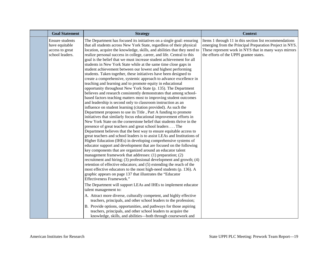| <b>Goal Statement</b>                                                   | <b>Strategy</b>                                                                                                                                                                                                                                                                                                                                                                                                                                                                                                                                                                                                                                                                                                                                                                                                                                                                                                                                                                                                                                                                                                                                                                                                                                                                                                                                                                                                                                                                                                                                                                                                                                                                                                                                                                                                                                                                                                                                                                                                                                                                                                                                                                                                                                                                                                                                                                                             | <b>Context</b>                                                                                                                                                                                                         |
|-------------------------------------------------------------------------|-------------------------------------------------------------------------------------------------------------------------------------------------------------------------------------------------------------------------------------------------------------------------------------------------------------------------------------------------------------------------------------------------------------------------------------------------------------------------------------------------------------------------------------------------------------------------------------------------------------------------------------------------------------------------------------------------------------------------------------------------------------------------------------------------------------------------------------------------------------------------------------------------------------------------------------------------------------------------------------------------------------------------------------------------------------------------------------------------------------------------------------------------------------------------------------------------------------------------------------------------------------------------------------------------------------------------------------------------------------------------------------------------------------------------------------------------------------------------------------------------------------------------------------------------------------------------------------------------------------------------------------------------------------------------------------------------------------------------------------------------------------------------------------------------------------------------------------------------------------------------------------------------------------------------------------------------------------------------------------------------------------------------------------------------------------------------------------------------------------------------------------------------------------------------------------------------------------------------------------------------------------------------------------------------------------------------------------------------------------------------------------------------------------|------------------------------------------------------------------------------------------------------------------------------------------------------------------------------------------------------------------------|
| Ensure students<br>have equitable<br>access to great<br>school leaders. | The Department has focused its initiatives on a single goal: ensuring<br>that all students across New York State, regardless of their physical<br>location, acquire the knowledge, skills, and abilities that they need to<br>realize personal success in college, career, and life. Central to this<br>goal is the belief that we must increase student achievement for all<br>students in New York State while at the same time close gaps in<br>student achievement between our lowest and highest performing<br>students. Taken together, these initiatives have been designed to<br>create a comprehensive, systemic approach to advance excellence in<br>teaching and learning and to promote equity in educational<br>opportunity throughout New York State (p. 135). The Department<br>believes and research consistently demonstrates that among school-<br>based factors teaching matters most to improving student outcomes<br>and leadership is second only to classroom instruction as an<br>influence on student learning (citation provided). As such the<br>Department proposes to use its Title, Part A funding to promote<br>initiatives that similarly focus educational improvement efforts in<br>New York State on the cornerstone belief that students thrive in the<br>presence of great teachers and great school leaders The<br>Department believes that the best way to ensure equitable access to<br>great teachers and school leaders is to assist LEAs and Institutions of<br>Higher Education (IHEs) in developing comprehensive systems of<br>educator support and development that are focused on the following<br>key components that are organized around an educator talent<br>management framework that addresses: (1) preparation; (2)<br>recruitment and hiring; (3) professional development and growth; (4)<br>retention of effective educators; and (5) extending the reach of the<br>most effective educators to the most high-need students (p. 136). A<br>graphic appears on page 137 that illustrates the "Educator<br>Effectiveness Framework."<br>The Department will support LEAs and IHEs to implement educator<br>talent management to:<br>A. Attract more diverse, culturally competent, and highly effective<br>teachers, principals, and other school leaders to the profession;<br>B. Provide options, opportunities, and pathways for those aspiring | Items 1 through 11 in this section list recommendations<br>emerging from the Principal Preparation Project in NYS.<br>These represent work in NYS that in many ways mirrors<br>the efforts of the UPPI grantee states. |
|                                                                         | teachers, principals, and other school leaders to acquire the<br>knowledge, skills, and abilities—both through coursework and                                                                                                                                                                                                                                                                                                                                                                                                                                                                                                                                                                                                                                                                                                                                                                                                                                                                                                                                                                                                                                                                                                                                                                                                                                                                                                                                                                                                                                                                                                                                                                                                                                                                                                                                                                                                                                                                                                                                                                                                                                                                                                                                                                                                                                                                               |                                                                                                                                                                                                                        |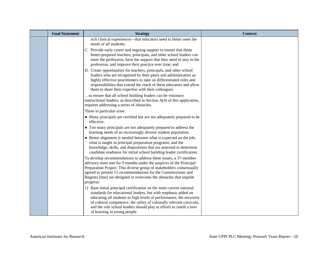| <b>Goal Statement</b> | <b>Strategy</b>                                                                                                                                                                                                                                                                                                                                                                               | <b>Context</b> |
|-----------------------|-----------------------------------------------------------------------------------------------------------------------------------------------------------------------------------------------------------------------------------------------------------------------------------------------------------------------------------------------------------------------------------------------|----------------|
|                       | rich clinical experiences—that educators need to better meet the<br>needs of all students;                                                                                                                                                                                                                                                                                                    |                |
|                       | C. Provide early career and ongoing support to ensure that those<br>better-prepared teachers, principals, and other school leaders can<br>enter the profession, have the support that they need to stay in the<br>profession, and improve their practice over time; and                                                                                                                       |                |
|                       | D. Create opportunities for teachers, principals, and other school<br>leaders who are recognized by their peers and administrators as<br>highly effective practitioners to take on differentiated roles and<br>responsibilities that extend the reach of these educators and allow<br>them to share their expertise with their colleagues.                                                    |                |
|                       | to ensure that all school building leaders can be visionary<br>instructional leaders, as described in Section $A(4)$ of this application,<br>requires addressing a series of obstacles.                                                                                                                                                                                                       |                |
|                       | Three in particular arise:                                                                                                                                                                                                                                                                                                                                                                    |                |
|                       | • Many principals are certified but are not adequately prepared to be<br>effective.                                                                                                                                                                                                                                                                                                           |                |
|                       | • Too many principals are not adequately prepared to address the<br>learning needs of an increasingly diverse student population.                                                                                                                                                                                                                                                             |                |
|                       | • Better alignment is needed between what is expected on the job;<br>what is taught in principal preparation programs; and the<br>knowledge, skills, and dispositions that are assessed to determine<br>candidate readiness for initial school building leader certification.                                                                                                                 |                |
|                       | To develop recommendations to address these issues, a 37-member<br>advisory team met for 9 months under the auspices of the Principal<br>Preparation Project. This diverse group of stakeholders consensually<br>agreed to present 11 recommendations for the Commissioner and<br>Regents [that] are designed to overcome the obstacles that impede<br>progress:                              |                |
|                       | 1) Base initial principal certification on the most current national<br>standards for educational leaders, but with emphasis added on<br>educating all students to high levels of performance, the necessity<br>of cultural competence, the utility of culturally relevant curricula,<br>and the role school leaders should play in efforts to instill a love<br>of learning in young people. |                |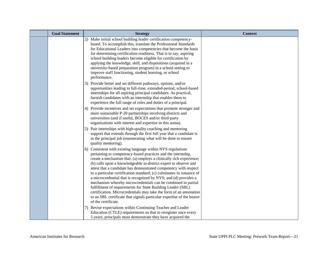| <b>Goal Statement</b> | <b>Strategy</b>                                                                                                                                                                                                                                                                                                                                                                                                                                                                                                                                                                                                                                                                                                                                                                             | <b>Context</b> |
|-----------------------|---------------------------------------------------------------------------------------------------------------------------------------------------------------------------------------------------------------------------------------------------------------------------------------------------------------------------------------------------------------------------------------------------------------------------------------------------------------------------------------------------------------------------------------------------------------------------------------------------------------------------------------------------------------------------------------------------------------------------------------------------------------------------------------------|----------------|
|                       | Make initial school building leader certification competency-<br>2)<br>based. To accomplish this, translate the Professional Standards<br>for Educational Leaders into competencies that become the basis<br>for determining certification readiness. That is to say, aspiring<br>school building leaders become eligible for certification by<br>applying the knowledge, skill, and dispositions (acquired in a<br>university-based preparation program) in a school setting to<br>improve staff functioning, student learning, or school<br>performance.                                                                                                                                                                                                                                  |                |
|                       | 3) Provide better and set different pathways, options, and/or<br>opportunities leading to full-time, extended-period, school-based<br>internships for all aspiring principal candidates. As practical,<br>furnish candidates with an internship that enables them to<br>experience the full range of roles and duties of a principal.                                                                                                                                                                                                                                                                                                                                                                                                                                                       |                |
|                       | 4) Provide incentives and set expectations that promote stronger and<br>more sustainable P-20 partnerships involving districts and<br>universities (and if useful, BOCES and/or third-party<br>organizations with interest and expertise in this arena).                                                                                                                                                                                                                                                                                                                                                                                                                                                                                                                                    |                |
|                       | 5) Pair internships with high-quality coaching and mentoring<br>support that extends through the first full year that a candidate is<br>in the principal job (enumerating what will be done to ensure<br>quality mentoring).                                                                                                                                                                                                                                                                                                                                                                                                                                                                                                                                                                |                |
|                       | 6) Consistent with existing language within NYS regulations<br>pertaining to competency-based practices and the internship,<br>create a mechanism that: (a) employs a clinically rich experience;<br>(b) calls upon a knowledgeable in-district expert to observe and<br>attest that a candidate has demonstrated competency with respect<br>to a particular certification standard; (c) culminates in issuance of<br>a microcredential that is recognized by NYS; and (d) provides a<br>mechanism whereby microcredentials can be combined in partial<br>fulfillment of requirements for State Building Leader (SBL)<br>certification. Microcredentials may take the form of an annotation<br>to an SBL certificate that signals particular expertise of the bearer<br>of the certificate. |                |
|                       | 7) Revise expectations within Continuing Teacher and Leader<br>Education (CTLE) requirements so that to reregister once every<br>5 years, principals must demonstrate they have acquired the                                                                                                                                                                                                                                                                                                                                                                                                                                                                                                                                                                                                |                |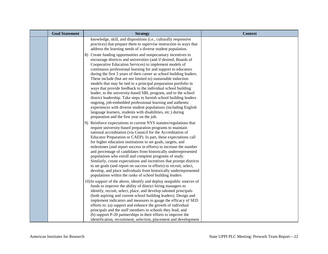| <b>Goal Statement</b> | <b>Strategy</b>                                                                                                                                                                                                                                                                                                                                                                                                                                                                                                                                                                                                                                                                                                                                                                                                    | <b>Context</b> |
|-----------------------|--------------------------------------------------------------------------------------------------------------------------------------------------------------------------------------------------------------------------------------------------------------------------------------------------------------------------------------------------------------------------------------------------------------------------------------------------------------------------------------------------------------------------------------------------------------------------------------------------------------------------------------------------------------------------------------------------------------------------------------------------------------------------------------------------------------------|----------------|
|                       | knowledge, skill, and dispositions (i.e., culturally responsive<br>practices) that prepare them to supervise instruction in ways that<br>address the learning needs of a diverse student population.<br>8) Create funding opportunities and nonpecuniary incentives to<br>encourage districts and universities (and if desired, Boards of<br>Cooperative Education Services) to implement models of<br>continuous professional learning for and support to educators<br>during the first 3 years of their career as school building leaders.<br>These include (but are not limited to) sustainable induction                                                                                                                                                                                                       |                |
|                       | models that may be tied to a principal preparation portfolio in<br>ways that provide feedback to the individual school building<br>leader, to the university-based SBL program, and to the school<br>district leadership. Take steps to furnish school building leaders<br>ongoing, job-embedded professional learning and authentic<br>experiences with diverse student populations (including English<br>language learners, students with disabilities, etc.) during<br>preparation and the first year on the job.                                                                                                                                                                                                                                                                                               |                |
|                       | 9) Reinforce expectations in current NYS statutes/regulations that<br>require university-based preparation programs to maintain<br>national accreditation (via Council for the Accreditation of<br>Educator Preparation or CAEP). In part, these expectations call<br>for higher education institutions to set goals, targets, and<br>milestones (and report success in efforts) to increase the number<br>and percentage of candidates from historically underrepresented<br>populations who enroll and complete programs of study.<br>Similarly, create expectations and incentives that prompt districts<br>to set goals (and report on success in efforts) to recruit, select,<br>develop, and place individuals from historically underrepresented<br>populations within the ranks of school building leaders |                |
|                       | 10) In support of the above, identify and deploy nonpublic sources of<br>funds to improve the ability of district hiring managers to<br>identify, recruit, select, place, and develop talented principals<br>(both aspiring and current school building leaders). Design and<br>implement indicators and measures to gauge the efficacy of SED<br>efforts to: (a) support and enhance the growth of individual<br>principals and the staff members in schools they lead; and<br>(b) support P-20 partnerships in their efforts to improve the<br>identification, recruitment, selection, placement and development                                                                                                                                                                                                 |                |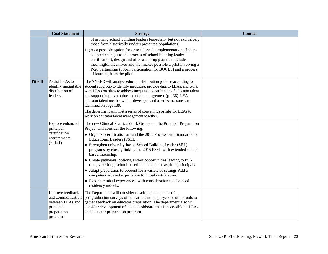|                 | <b>Goal Statement</b>                                                                                                                                                                                                                                                                                                                                                                                                                                                                                                                                                                         | <b>Strategy</b>                                                                                                                                                                                                                                                                                                                                                                                                                                                                                                                                                                                                                                                                                                                     | <b>Context</b> |
|-----------------|-----------------------------------------------------------------------------------------------------------------------------------------------------------------------------------------------------------------------------------------------------------------------------------------------------------------------------------------------------------------------------------------------------------------------------------------------------------------------------------------------------------------------------------------------------------------------------------------------|-------------------------------------------------------------------------------------------------------------------------------------------------------------------------------------------------------------------------------------------------------------------------------------------------------------------------------------------------------------------------------------------------------------------------------------------------------------------------------------------------------------------------------------------------------------------------------------------------------------------------------------------------------------------------------------------------------------------------------------|----------------|
|                 |                                                                                                                                                                                                                                                                                                                                                                                                                                                                                                                                                                                               | of aspiring school building leaders (especially but not exclusively<br>those from historically underrepresented populations).                                                                                                                                                                                                                                                                                                                                                                                                                                                                                                                                                                                                       |                |
|                 |                                                                                                                                                                                                                                                                                                                                                                                                                                                                                                                                                                                               | 11) As a possible option (prior to full-scale implementation of state-<br>adopted changes to the process of school building leader<br>certification), design and offer a step-up plan that includes<br>meaningful incentives and that makes possible a pilot involving a<br>P-20 partnership (opt-in participation for BOCES) and a process<br>of learning from the pilot.                                                                                                                                                                                                                                                                                                                                                          |                |
| <b>Title II</b> | Assist LEAs to<br>The NYSED will analyze educator distribution patterns according to<br>identify inequitable<br>student subgroup to identify inequities, provide data to LEAs, and work<br>distribution of<br>with LEAs on plans to address inequitable distribution of educator talent<br>and support improved educator talent management (p. 138). LEA<br>leaders.<br>educator talent metrics will be developed and a series measures are<br>identified on page 139.<br>The department will host a series of convenings or labs for LEAs to<br>work on educator talent management together. |                                                                                                                                                                                                                                                                                                                                                                                                                                                                                                                                                                                                                                                                                                                                     |                |
|                 | Explore enhanced<br>principal<br>certification<br>requirements<br>(p. 141).                                                                                                                                                                                                                                                                                                                                                                                                                                                                                                                   | The new Clinical Practice Work Group and the Principal Preparation<br>Project will consider the following:<br>• Organize certification around the 2015 Professional Standards for<br>Educational Leaders (PSEL).<br>• Strengthen university-based School Building Leader (SBL)<br>programs by closely linking the 2015 PSEL with extended school-<br>based internship.<br>• Create pathways, options, and/or opportunities leading to full-<br>time, year-long, school-based internships for aspiring principals.<br>• Adapt preparation to account for a variety of settings Add a<br>competency-based expectation to initial certification.<br>• Expand clinical experiences, with consideration to advanced<br>residency models. |                |
|                 | Improve feedback<br>and communication<br>between LEAs and<br>principal<br>preparation<br>programs.                                                                                                                                                                                                                                                                                                                                                                                                                                                                                            | The Department will consider development and use of<br>postgraduation surveys of educators and employers or other tools to<br>gather feedback on educator preparation. The department also will<br>consider development of a data dashboard that is accessible to LEAs<br>and educator preparation programs.                                                                                                                                                                                                                                                                                                                                                                                                                        |                |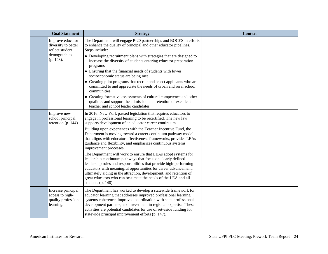| <b>Goal Statement</b>                                                                      | <b>Strategy</b>                                                                                                                                                                                                                                                                                                                                                                                                                                                                                                                                                                                                                                                                                                                                                                                                                                                                                                                       | <b>Context</b> |
|--------------------------------------------------------------------------------------------|---------------------------------------------------------------------------------------------------------------------------------------------------------------------------------------------------------------------------------------------------------------------------------------------------------------------------------------------------------------------------------------------------------------------------------------------------------------------------------------------------------------------------------------------------------------------------------------------------------------------------------------------------------------------------------------------------------------------------------------------------------------------------------------------------------------------------------------------------------------------------------------------------------------------------------------|----------------|
| Improve educator<br>diversity to better<br>reflect student<br>demographics<br>$(p. 143)$ . | The Department will engage P-20 partnerships and BOCES in efforts<br>to enhance the quality of principal and other educator pipelines.<br>Steps include:<br>• Developing recruitment plans with strategies that are designed to<br>increase the diversity of students entering educator preparation<br>programs<br>• Ensuring that the financial needs of students with lower<br>socioeconomic status are being met<br>• Creating pilot programs that recruit and select applicants who are<br>committed to and appreciate the needs of urban and rural school<br>communities<br>• Creating formative assessments of cultural competence and other<br>qualities and support the admission and retention of excellent<br>teacher and school leader candidates                                                                                                                                                                          |                |
| Improve new<br>school principal<br>retention (p. 144).                                     | In 2016, New York passed legislation that requires educators to<br>engage in professional learning to be recertified. The new law<br>supports development of an educator career continuum.<br>Building upon experiences with the Teacher Incentive Fund, the<br>Department is moving toward a career continuum pathway model<br>that aligns with educator effectiveness frameworks, provides LEAs<br>guidance and flexibility, and emphasizes continuous systems<br>improvement processes.<br>The Department will work to ensure that LEAs adopt systems for<br>leadership continuum pathways that focus on clearly defined<br>leadership roles and responsibilities that provide high-performing<br>educators with meaningful opportunities for career advancement,<br>ultimately aiding in the attraction, development, and retention of<br>great educators who can best meet the needs of the LEA and all<br>students (p. $148$ ). |                |
| Increase principal<br>access to high-<br>quality professional<br>learning.                 | The Department has worked to develop a statewide framework for<br>educator learning that addresses improved professional learning<br>systems coherence, improved coordination with state professional<br>development partners, and investment in regional expertise. These<br>activities are potential candidates for use of set-aside funding for<br>statewide principal improvement efforts (p. 147).                                                                                                                                                                                                                                                                                                                                                                                                                                                                                                                               |                |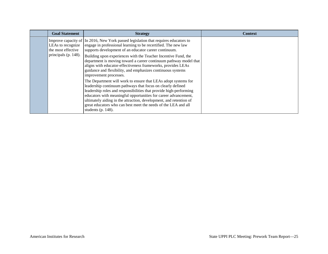| <b>Goal Statement</b>                                           | <b>Strategy</b>                                                                                                                                                                                                                                                                                                                                                                                                                                                                                                        | <b>Context</b> |
|-----------------------------------------------------------------|------------------------------------------------------------------------------------------------------------------------------------------------------------------------------------------------------------------------------------------------------------------------------------------------------------------------------------------------------------------------------------------------------------------------------------------------------------------------------------------------------------------------|----------------|
| LEAs to recognize<br>the most effective<br>principals (p. 148). | Improve capacity of $\vert$ In 2016, New York passed legislation that requires educators to<br>engage in professional learning to be recertified. The new law<br>supports development of an educator career continuum.<br>Building upon experiences with the Teacher Incentive Fund, the<br>department is moving toward a career continuum pathway model that<br>aligns with educator-effectiveness frameworks, provides LEAs<br>guidance and flexibility, and emphasizes continuous systems<br>improvement processes. |                |
|                                                                 | The Department will work to ensure that LEAs adopt systems for<br>leadership continuum pathways that focus on clearly defined<br>leadership roles and responsibilities that provide high-performing<br>educators with meaningful opportunities for career advancement,<br>ultimately aiding in the attraction, development, and retention of<br>great educators who can best meet the needs of the LEA and all<br>students (p. $148$ ).                                                                                |                |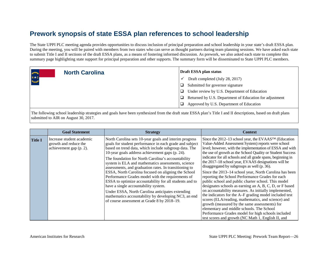The State UPPI PLC meeting agenda provides opportunities to discuss inclusion of principal preparation and school leadership in your state's draft ESSA plan. During the meeting, you will be paired with members from two states who can serve as thought partners during team planning sessions. We have asked each state to submit Title I and II sections of the draft ESSA plans, as a means of fostering informed discussion. As prework, we also asked each state to complete this summary page highlighting state support for principal preparation and other supports. The summary form will be disseminated to State UPPI PLC members.

| <b>AUSTRALIA</b>             | <b>North Carolina</b> | Draft ESSA plan status                                       |
|------------------------------|-----------------------|--------------------------------------------------------------|
| $N \star C$<br>$\frac{1}{2}$ |                       | Draft completed (July 28, 2017)<br>v                         |
|                              |                       | Submitted for governor signature<br>□                        |
|                              |                       | Under review by U.S. Department of Education<br>◻            |
|                              |                       | Returned by U.S. Department of Education for adjustment<br>◻ |
|                              |                       | Approved by U.S. Department of Education<br>◻                |

|                | <b>Goal Statement</b>                                                         | <b>Strategy</b>                                                                                                                                                                                                                                                                                                                                                                                                                                                                                                                                                                                                                                                                                                                                                               | <b>Context</b>                                                                                                                                                                                                                                                                                                                                                                                                                                                                                                                                                                                                                                                                                                                                                                                                                                                                                                                                                                                                                            |
|----------------|-------------------------------------------------------------------------------|-------------------------------------------------------------------------------------------------------------------------------------------------------------------------------------------------------------------------------------------------------------------------------------------------------------------------------------------------------------------------------------------------------------------------------------------------------------------------------------------------------------------------------------------------------------------------------------------------------------------------------------------------------------------------------------------------------------------------------------------------------------------------------|-------------------------------------------------------------------------------------------------------------------------------------------------------------------------------------------------------------------------------------------------------------------------------------------------------------------------------------------------------------------------------------------------------------------------------------------------------------------------------------------------------------------------------------------------------------------------------------------------------------------------------------------------------------------------------------------------------------------------------------------------------------------------------------------------------------------------------------------------------------------------------------------------------------------------------------------------------------------------------------------------------------------------------------------|
| <b>Title I</b> | Increase student academic<br>growth and reduce the<br>achievement gap (p. 2). | North Carolina sets 10-year goals and interim progress<br>goals for student performance in each grade and subject<br>based on trend data, which include subgroup data. The<br>10-year goals address achievement gaps (p. 24).<br>The foundation for North Carolina's accountability<br>system is ELA and mathematics assessments, science<br>assessments, and graduation rates. In transitioning to<br>ESSA, North Carolina focused on aligning the School<br>Performance Grades model with the requirements of<br>ESSA to optimize accountability for all students and to<br>have a single accountability system.<br>Under ESSA, North Carolina anticipates extending<br>mathematics accountability by developing NC3, an end<br>of course assessment at Grade 8 by 2018-19. | Since the 2012–13 school year, the EVAAS <sup>TM</sup> (Education<br>Value-Added Assessment System) reports were school<br>level; however, with the implementation of ESSA and with<br>the use of growth as the School Quality or Student Success<br>indicator for all schools and all grade spans, beginning in<br>the 2017–18 school year, EVAAS designations will be<br>disaggregated by subgroups as well (p. 36).<br>Since the 2013–14 school year, North Carolina has been<br>reporting the School Performance Grades for each<br>public school and public charter school. This model<br>designates schools as earning an A, B, C, D, or F based<br>on accountability measures. As initially implemented,<br>the indicators for the A–F grading model included test<br>scores (ELA/reading, mathematics, and science) and<br>growth (measured by the same assessments) for<br>elementary and middle schools. The School<br>Performance Grades model for high schools included<br>test scores and growth (NC Math 1, English II, and |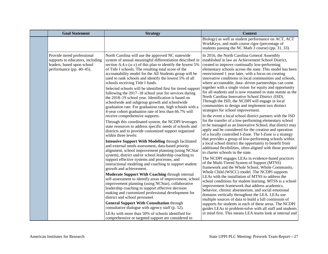| <b>Goal Statement</b>                                                                                                     | <b>Strategy</b>                                                                                                                                                                                                                                                                                                                                                                                                                                                                                                                                                                                                                                                                                                                                                                                                                                                                                                                                                                                                                                                                                                                                                                                                                                                                                                                                                                                                                                                                                                                                                                                                                                                                                                                                                                                     | <b>Context</b>                                                                                                                                                                                                                                                                                                                                                                                                                                                                                                                                                                                                                                                                                                                                                                                                                                                                                                                                                                                                                                                                                                                                                                                                                                                                                                                                                                                                                                                                                                                                                                                                                                                                                                                                                                                                                                                                                                                 |
|---------------------------------------------------------------------------------------------------------------------------|-----------------------------------------------------------------------------------------------------------------------------------------------------------------------------------------------------------------------------------------------------------------------------------------------------------------------------------------------------------------------------------------------------------------------------------------------------------------------------------------------------------------------------------------------------------------------------------------------------------------------------------------------------------------------------------------------------------------------------------------------------------------------------------------------------------------------------------------------------------------------------------------------------------------------------------------------------------------------------------------------------------------------------------------------------------------------------------------------------------------------------------------------------------------------------------------------------------------------------------------------------------------------------------------------------------------------------------------------------------------------------------------------------------------------------------------------------------------------------------------------------------------------------------------------------------------------------------------------------------------------------------------------------------------------------------------------------------------------------------------------------------------------------------------------------|--------------------------------------------------------------------------------------------------------------------------------------------------------------------------------------------------------------------------------------------------------------------------------------------------------------------------------------------------------------------------------------------------------------------------------------------------------------------------------------------------------------------------------------------------------------------------------------------------------------------------------------------------------------------------------------------------------------------------------------------------------------------------------------------------------------------------------------------------------------------------------------------------------------------------------------------------------------------------------------------------------------------------------------------------------------------------------------------------------------------------------------------------------------------------------------------------------------------------------------------------------------------------------------------------------------------------------------------------------------------------------------------------------------------------------------------------------------------------------------------------------------------------------------------------------------------------------------------------------------------------------------------------------------------------------------------------------------------------------------------------------------------------------------------------------------------------------------------------------------------------------------------------------------------------------|
|                                                                                                                           |                                                                                                                                                                                                                                                                                                                                                                                                                                                                                                                                                                                                                                                                                                                                                                                                                                                                                                                                                                                                                                                                                                                                                                                                                                                                                                                                                                                                                                                                                                                                                                                                                                                                                                                                                                                                     | Biology) as well as student performance on ACT, ACT<br>WorkKeys, and math course rigor (percentage of<br>students passing the NC Math 3 course) (pp. 31, 33).                                                                                                                                                                                                                                                                                                                                                                                                                                                                                                                                                                                                                                                                                                                                                                                                                                                                                                                                                                                                                                                                                                                                                                                                                                                                                                                                                                                                                                                                                                                                                                                                                                                                                                                                                                  |
| Provide tiered professional<br>supports to educators, including<br>leaders, based upon school<br>performance (pp. 40–45). | North Carolina will use the approved NC statewide<br>system of annual meaningful differentiation described in<br>section A.4.v.(a–c) of this plan to identify the lowest $5\%$<br>of Title I schools. The resulting total score of the<br>accountability model for the All Students group will be<br>used to rank schools and identify the lowest 5% of all<br>schools receiving Title I funds.<br>Selected schools will be identified first for tiered support<br>following the 2017-18 school year for services during<br>the 2018–19 school year. Identification is based on<br>schoolwide and subgroup growth and schoolwide<br>graduation rate. For graduation rate, high schools with a<br>4-year cohort graduation rate of less than 66.7% will<br>receive comprehensive supports.<br>Through this coordinated system, the NCDPI leverages<br>state resources to address specific needs of schools and<br>districts and to provide customized support organized<br>within three levels:<br><b>Intensive Support With Modeling through facilitated</b><br>and external needs assessment, data-based priority<br>alignment, school improvement planning (using NCStar<br>system), district and/or school leadership coaching to<br>support effective systems and processes, and<br>instructional modeling and coaching to support student<br>growth and achievement.<br>Moderate Support With Coaching through internal<br>self-assessment to identify areas of improvement, school<br>improvement planning (using NCStar), collaborative<br>leadership coaching to support effective decision<br>making and customized professional development for<br>district and school personnel.<br><b>General Support With Consultation through</b><br>consultative dialogue with agency staff (p. 52). | In 2016, the North Carolina General Assembly<br>established in law an Achievement School District,<br>created to improve continually low-performing<br>elementary schools across the state. This model has been<br>reenvisioned 1 year later, with a focus on creating<br>innovative conditions in local communities and schools,<br>where accountable, data- driven partnerships can come<br>together with a single vision for equity and opportunity<br>for all students and is now renamed in state statute as the<br>North Carolina Innovative School District (ISD).<br>Through the ISD, the NCDPI will engage in local<br>communities to design and implement two distinct<br>strategies for school improvement.<br>In the event a local school district partners with the ISD<br>for the transfer of a low-performing elementary school<br>to be managed as an Innovative School, that district may<br>apply and be considered for the creation and operation<br>of a locally controlled I-Zone. The I-Zone is a strategy<br>that provides a group of low-performing schools within<br>a local school district the opportunity to benefit from<br>additional flexibilities, often aligned with those provided<br>to charter schools in the state.<br>The NCDPI engages LEAs in evidence-based practices<br>of the Multi-Tiered System of Support (MTSS)<br>framework and the Whole School, Whole Community,<br>Whole Child (WSCC) model. The NCDPI supports<br>LEAs with the installation of MTSS to address the<br>school conditions for student learning. MTSS is a school<br>improvement framework that address academics,<br>behavior, chronic absenteeism, and social emotional<br>domains vertically throughout the LEA. LEAs use<br>multiple sources of data to build a full continuum of<br>supports for students in each of these areas. The NCDPI<br>guides LEAs to problem-solve with all staff and students |
|                                                                                                                           | LEAs with more than 50% of schools identified for<br>comprehensive or targeted support are considered to                                                                                                                                                                                                                                                                                                                                                                                                                                                                                                                                                                                                                                                                                                                                                                                                                                                                                                                                                                                                                                                                                                                                                                                                                                                                                                                                                                                                                                                                                                                                                                                                                                                                                            | in mind first. This means LEA teams look at internal and                                                                                                                                                                                                                                                                                                                                                                                                                                                                                                                                                                                                                                                                                                                                                                                                                                                                                                                                                                                                                                                                                                                                                                                                                                                                                                                                                                                                                                                                                                                                                                                                                                                                                                                                                                                                                                                                       |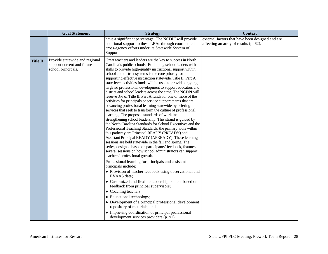|                 | <b>Goal Statement</b>                                                              | <b>Strategy</b>                                                                                                                                                                                                                                                                                                                                                                                                                                                                                                                                                                                                                                                                                                                                                                                                                                                                                                                                                                                                                                                                                                                                                                                                                                                                                                                                                                                                                                                                                                                                                                                                                                                                                                      | <b>Context</b>                                                                             |
|-----------------|------------------------------------------------------------------------------------|----------------------------------------------------------------------------------------------------------------------------------------------------------------------------------------------------------------------------------------------------------------------------------------------------------------------------------------------------------------------------------------------------------------------------------------------------------------------------------------------------------------------------------------------------------------------------------------------------------------------------------------------------------------------------------------------------------------------------------------------------------------------------------------------------------------------------------------------------------------------------------------------------------------------------------------------------------------------------------------------------------------------------------------------------------------------------------------------------------------------------------------------------------------------------------------------------------------------------------------------------------------------------------------------------------------------------------------------------------------------------------------------------------------------------------------------------------------------------------------------------------------------------------------------------------------------------------------------------------------------------------------------------------------------------------------------------------------------|--------------------------------------------------------------------------------------------|
|                 |                                                                                    | have a significant percentage. The NCDPI will provide<br>additional support to these LEAs through coordinated<br>cross-agency efforts under its Statewide System of<br>Support.                                                                                                                                                                                                                                                                                                                                                                                                                                                                                                                                                                                                                                                                                                                                                                                                                                                                                                                                                                                                                                                                                                                                                                                                                                                                                                                                                                                                                                                                                                                                      | external factors that have been designed and are<br>affecting an array of results (p. 62). |
| <b>Title II</b> | Provide statewide and regional<br>support current and future<br>school principals. | Great teachers and leaders are the key to success in North<br>Carolina's public schools. Equipping school leaders with<br>skills to provide high-quality instructional support within<br>school and district systems is the core priority for<br>supporting effective instruction statewide. Title II, Part A<br>state-level activities funds will be used to provide ongoing,<br>targeted professional development to support educators and<br>district and school leaders across the state. The NCDPI will<br>reserve 3% of Title II, Part A funds for one or more of the<br>activities for principals or service support teams that are<br>advancing professional learning statewide by offering<br>services that seek to transform the culture of professional<br>learning. The proposed standards of work include<br>strengthening school leadership. This strand is guided by<br>the North Carolina Standards for School Executives and the<br>Professional Teaching Standards, the primary tools within<br>this pathway are Principal READY (PREADY) and<br>Assistant Principal READY (APREADY). These learning<br>sessions are held statewide in the fall and spring. The<br>series, designed based on participants' feedback, features<br>several sessions on how school administrators can support<br>teachers' professional growth.<br>Professional learning for principals and assistant<br>principals include:<br>• Provision of teacher feedback using observational and<br>EVAAS data;<br>• Customized and flexible leadership content based on<br>feedback from principal supervisors;<br>• Coaching teachers;<br>• Educational technology;<br>• Development of a principal professional development |                                                                                            |
|                 |                                                                                    | repository of materials; and<br>• Improving coordination of principal professional<br>development services providers (p. 91).                                                                                                                                                                                                                                                                                                                                                                                                                                                                                                                                                                                                                                                                                                                                                                                                                                                                                                                                                                                                                                                                                                                                                                                                                                                                                                                                                                                                                                                                                                                                                                                        |                                                                                            |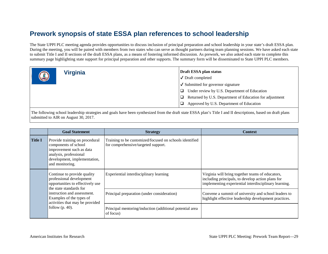The State UPPI PLC meeting agenda provides opportunities to discuss inclusion of principal preparation and school leadership in your state's draft ESSA plan. During the meeting, you will be paired with members from two states who can serve as thought partners during team planning sessions. We have asked each state to submit Title I and II sections of the draft ESSA plans, as a means of fostering informed discussion. As prework, we also asked each state to complete this summary page highlighting state support for principal preparation and other supports. The summary form will be disseminated to State UPPI PLC members.

|            | <b>Virginia</b> | Draft ESSA plan status                                  |  |
|------------|-----------------|---------------------------------------------------------|--|
| $\bigcirc$ |                 | $\sqrt{\phantom{a}}$ Draft completed                    |  |
|            |                 | $\checkmark$ Submitted for governor signature           |  |
|            |                 | Under review by U.S. Department of Education            |  |
|            |                 | Returned by U.S. Department of Education for adjustment |  |
|            |                 | Approved by U.S. Department of Education                |  |

|                | <b>Goal Statement</b>                                                                                                                                                                                                | <b>Strategy</b>                                                                                | <b>Context</b>                                                                                                                                                 |
|----------------|----------------------------------------------------------------------------------------------------------------------------------------------------------------------------------------------------------------------|------------------------------------------------------------------------------------------------|----------------------------------------------------------------------------------------------------------------------------------------------------------------|
| <b>Title I</b> | Provide training on procedural<br>components of school<br>improvement such as data<br>analysis, professional<br>development, implementation,<br>and monitoring.                                                      | Training to be customized/focused on schools identified<br>for comprehensive/targeted support. |                                                                                                                                                                |
|                | Continue to provide quality<br>professional development<br>opportunities to effectively use<br>the state standards for<br>instruction and assessment.<br>Examples of the types of<br>activities that may be provided | Experiential interdisciplinary learning                                                        | Virginia will bring together teams of educators,<br>including principals, to develop action plans for<br>implementing experiential interdisciplinary learning. |
|                |                                                                                                                                                                                                                      | Principal preparation (under consideration)                                                    | Convene a summit of university and school leaders to<br>highlight effective leadership development practices.                                                  |
|                | follow $(p. 40)$ .                                                                                                                                                                                                   | Principal mentoring/induction (additional potential area<br>of focus)                          |                                                                                                                                                                |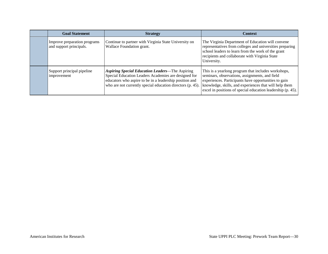| <b>Goal Statement</b>                                   | <b>Strategy</b>                                                                                                                                                                                                                         | <b>Context</b>                                                                                                                                                                                                                                                                         |
|---------------------------------------------------------|-----------------------------------------------------------------------------------------------------------------------------------------------------------------------------------------------------------------------------------------|----------------------------------------------------------------------------------------------------------------------------------------------------------------------------------------------------------------------------------------------------------------------------------------|
| Improve preparation programs<br>and support principals. | Continue to partner with Virginia State University on<br>Wallace Foundation grant.                                                                                                                                                      | The Virginia Department of Education will convene<br>representatives from colleges and universities preparing<br>school leaders to learn from the work of the grant<br>recipients and collaborate with Virginia State<br>University.                                                   |
| Support principal pipeline<br>improvement               | <b>Aspiring Special Education Leaders—The Aspiring</b><br>Special Education Leaders Academies are designed for<br>educators who aspire to be in a leadership position and<br>who are not currently special education directors (p. 45). | This is a yearlong program that includes workshops,<br>seminars, observations, assignments, and field<br>experiences. Participants have opportunities to gain<br>knowledge, skills, and experiences that will help them<br>excel in positions of special education leadership (p. 45). |